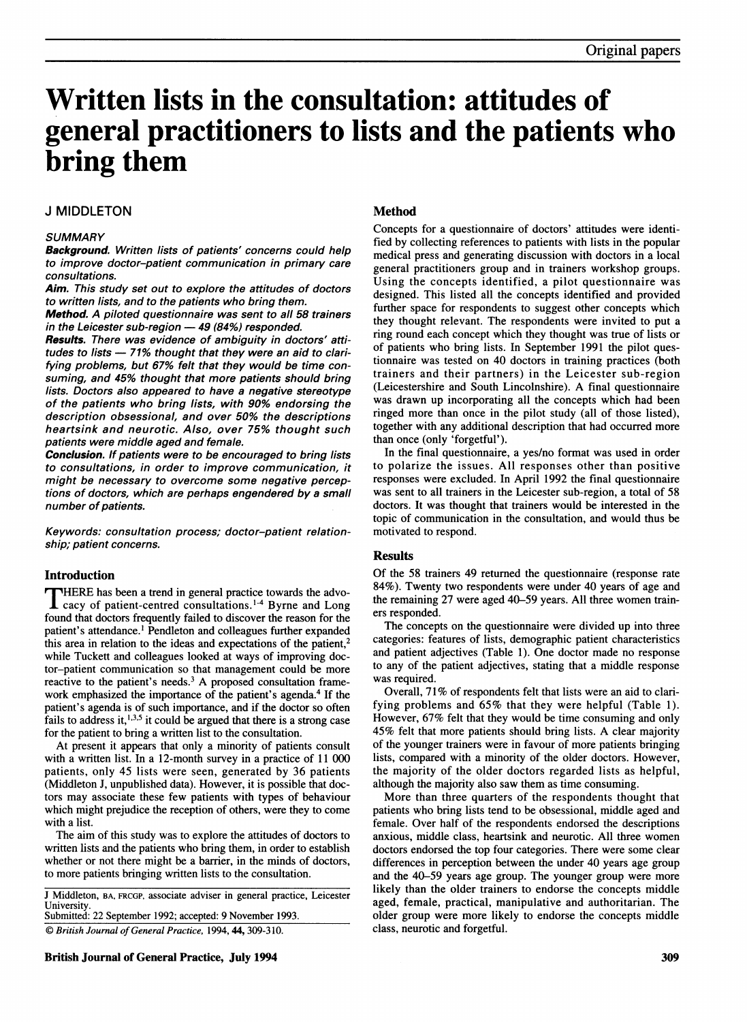# Written lists in the consultation: attitudes of general practitioners to lists and the patients who bring them

# J MIDDLETON

#### **SUMMARY**

Background. Written lists of patients' concerns could help to improve doctor-patient communication in primary care consultations.

Aim. This study set out to explore the attitudes of doctors to written lists, and to the patients who bring them.

Method. A piloted questionnaire was sent to all 58 trainers in the Leicester sub-region  $-49$  (84%) responded.

Results. There was evidence of ambiguity in doctors' attitudes to lists  $-71\%$  thought that they were an aid to clarifying problems, but 67% felt that they would be time consuming, and 45% thought that more patients should bring lists. Doctors also appeared to have a negative stereotype of the patients who bring lists, with 90% endorsing the description obsessional, and over 50% the descriptions heartsink and neurotic. Also, over 75% thought such patients were middle aged and female.

Conclusion. If patients were to be encouraged to bring lists to consultations, in order to improve communication, it might be necessary to overcome some negative perceptions of doctors, which are perhaps engendered by a small number of patients.

Keywords: consultation process; doctor-patient relationship; patient concerns.

#### Introduction

THERE has been <sup>a</sup> trend in general practice towards the advo- $\bf{1}$  cacy of patient-centred consultations.<sup>1-4</sup> Byrne and Long found that doctors frequently failed to discover the reason for the patient's attendance.' Pendleton and colleagues further expanded this area in relation to the ideas and expectations of the patient,<sup>2</sup> while Tuckett and colleagues looked at ways of improving doctor-patient communication so that management could be more reactive to the patient's needs. $3$  A proposed consultation framework emphasized the importance of the patient's agenda.<sup>4</sup> If the patient's agenda is of such importance, and if the doctor so often fails to address it,  $1,3,5$  it could be argued that there is a strong case for the patient to bring a written list to the consultation.

At present it appears that only a minority of patients consult with a written list. In a 12-month survey in a practice of 11 000 patients, only 45 lists were seen, generated by 36 patients (Middleton J, unpublished data). However, it is possible that doctors may associate these few patients with types of behaviour which might prejudice the reception of others, were they to come with a list.

The aim of this study was to explore the attitudes of doctors to written lists and the patients who bring them, in order to establish whether or not there might be a barrier, in the minds of doctors, to more patients bringing written lists to the consultation.

J Middleton, BA, FRCGP, associate adviser in general practice, Leicester **University** Submitted: 22 September 1992; accepted: 9 November 1993.

 $© British Journal of General Practice, 1994, 44, 309-310.$ 

British Journal of General Practice, July 1994 **309** 309

# Method

Concepts for a questionnaire of doctors' attitudes were identified by collecting references to patients with lists in the popular medical press and generating discussion with doctors in a local general practitioners group and in trainers workshop groups. Using the concepts identified, a pilot questionnaire was designed. This listed all the concepts identified and provided further space for respondents to suggest other concepts which they thought relevant. The respondents were invited to put a ring round each concept which they thought was true of lists or of patients who bring lists. In September 1991 the pilot questionnaire was tested on 40 doctors in training practices (both trainers and their partners) in the Leicester sub-region (Leicestershire and South Lincolnshire). A final questionnaire was drawn up incorporating all the concepts which had been ringed more than once in the pilot study (all of those listed), together with any additional description that had occurred more than once (only 'forgetful').

In the final questionnaire, a yes/no format was used in order to polarize the issues. All responses other than positive responses were excluded. In April 1992 the final questionnaire was sent to all trainers in the Leicester sub-region, a total of 58 doctors. It was thought that trainers would be interested in the topic of communication in the consultation, and would thus be motivated to respond.

# **Results**

Of the 58 trainers 49 returned the questionnaire (response rate 84%). Twenty two respondents were under 40 years of age and the remaining 27 were aged 40-59 years. All three women trainers responded.

The concepts on the questionnaire were divided up into three categories: features of lists, demographic patient characteristics and patient adjectives (Table 1). One doctor made no response to any of the patient adjectives, stating that a middle response was required.

Overall, 71% of respondents felt that lists were an aid to clarifying problems and 65% that they were helpful (Table 1). However, 67% felt that they would be time consuming and only 45% felt that more patients should bring lists. A clear majority of the younger trainers were in favour of more patients bringing lists, compared with a minority of the older doctors. However, the majority of the older doctors regarded lists as helpful, although the majority also saw them as time consuming.

More than three quarters of the respondents thought that patients who bring lists tend to be obsessional, middle aged and female. Over half of the respondents endorsed the descriptions anxious, middle class, heartsink and neurotic. All three women doctors endorsed the top four categories. There were some clear differences in perception between the under 40 years age group and the 40-59 years age group. The younger group were more likely than the older trainers to endorse the concepts middle aged, female, practical, manipulative and authoritarian. The older group were more likely to endorse the concepts middle class, neurotic and forgetful.